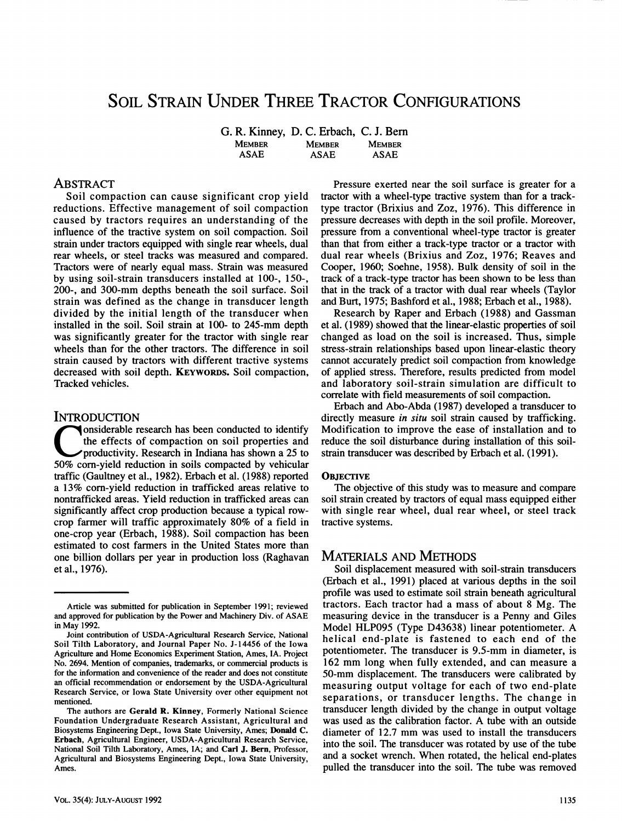# SOIL STRAIN UNDER THREE TRACTOR CONFIGURATIONS

**G. R. Kinney, D. C. Erbach, C. J. Bern MEMBER MEMBER MEMBER**<br>ASAE **ASAE** ASAE **ASAE ASAE ASAE** 

## **ABSTRACT**

**Soil compaction can cause significant crop yield reductions. Effective management of soil compaction caused by tractors requires an understanding of the influence of the tractive system on soil compaction. Soil strain under tractors equipped with single rear wheels, dual rear wheels, or steel tracks was measured and compared. Tractors were of nearly equal mass. Strain was measured by using soil-strain transducers installed at 100-, 150-, 200-, and 300-mm depths beneath the soil surface. Soil strain was defined as the change in transducer length divided by the initial length of the transducer when installed in the soil. Soil strain at 100- to 245-mm depth was significantly greater for the tractor with single rear wheels than for the other tractors. The difference in soil strain caused by tractors with different tractive systems decreased with soil depth. KEYWORDS. Soil compaction. Tracked vehicles.** 

#### INTRODUCTION

**C 50% corn-yield reduction in soils compacted by vehicular onsiderable research has been conducted to identify the effects of compaction on soil properties and productivity. Research in Indiana has shown a 25 to traffic (Gaultney et al., 1982). Erbach et al. (1988) reported a 13% corn-yield reduction in trafficked areas relative to nontrafficked areas. Yield reduction in trafficked areas can significantly affect crop production because a typical rowcrop farmer will traffic approximately 80% of a field in one-crop year (Erbach, 1988). Soil compaction has been estimated to cost farmers in the United States more than one billion dollars per year in production loss (Raghavan etal., 1976).** 

**Pressure exerted near the soil surface is greater for a tractor with a wheel-type tractive system than for a tracktype tractor (Brixius and Zoz, 1976). This difference in pressure decreases with depth in the soil profile. Moreover, pressure from a conventional wheel-type tractor is greater than that from either a track-type tractor or a tractor with dual rear wheels (Brixius and Zoz, 1976; Reaves and Cooper, 1960; Soehne, 1958). Bulk density of soil in the track of a track-type tractor has been shown to be less than that in the track of a tractor with dual rear wheels (Taylor and Burt, 1975; Bashford et al., 1988; Erbach et al., 1988).** 

**Research by Raper and Erbach (1988) and Gassman et al. (1989) showed that the linear-elastic properties of soil changed as load on the soil is increased. Thus, simple stress-strain relationships based upon linear-elastic theory cannot accurately predict soil compaction from knowledge of applied stress. Therefore, results predicted from model and laboratory soil-strain simulation are difficult to correlate with field measurements of soil compaction.** 

**Erbach and Abo-Abda (1987) developed a transducer to directly measure** *in situ* **soil strain caused by trafficking. Modification to improve the ease of installation and to reduce the soil disturbance during installation of this soilstrain transducer was described by Erbach et al. (1991).** 

#### **OBJECTIVE**

**The objective of this study was to measure and compare soil strain created by tractors of equal mass equipped either with single rear wheel, dual rear wheel, or steel track tractive systems.** 

### MATERIALS AND METHODS

**Soil displacement measured with soil-strain transducers (Erbach et al., 1991) placed at various depths in the soil profile was used to estimate soil strain beneath agricultural tractors. Each tractor had a mass of about 8 Mg. The measuring device in the transducer is a Penny and Giles Model HLP095 (Type D43638) linear potentiometer. A helical end-plate is fastened to each end of the potentiometer. The transducer is 9.5-mm in diameter, is 162 mm long when fully extended, and can measure a 50-mm displacement. The transducers were calibrated by measuring output voltage for each of two end-plate separations, or transducer lengths. The change in transducer length divided by the change in output voltage was used as the calibration factor. A tube with an outside diameter of 12.7 mm was used to install the transducers into the soil. The transducer was rotated by use of the tube and a socket wrench. When rotated, the helical end-plates pulled the transducer into the soil. The tube was removed** 

Article was submitted for publication in September 1991; reviewed and approved for publication by the Power and Machinery Div. of ASAE in May 1992.

Joint contribution of USDA-Agricultural Research Service, National Soil Tilth Laboratory, and Journal Paper No. J-14456 of the Iowa Agriculture and Home Economics Experiment Station, Ames, lA. Project No. 2694. Mention of companies, trademarks, or commercial products is for the information and convenience of the reader and does not constitute an official recommendation or endorsement by the USDA-Agricultural Research Service, or Iowa State University over other equipment not mentioned.

The authors are **Gerald R. Kinney,** Formerly National Science Foundation Undergraduate Research Assistant, Agricultural and Biosystems Engineering Dept., Iowa State University, Ames; **Donald C. Erbach,** Agricultural Engineer, USDA-Agricultural Research Service, National Soil Tilth Laboratory, Ames, IA; and Carl J. Bern, Professor, Agricultural and Biosystems Engineering Dept., Iowa State University, Ames.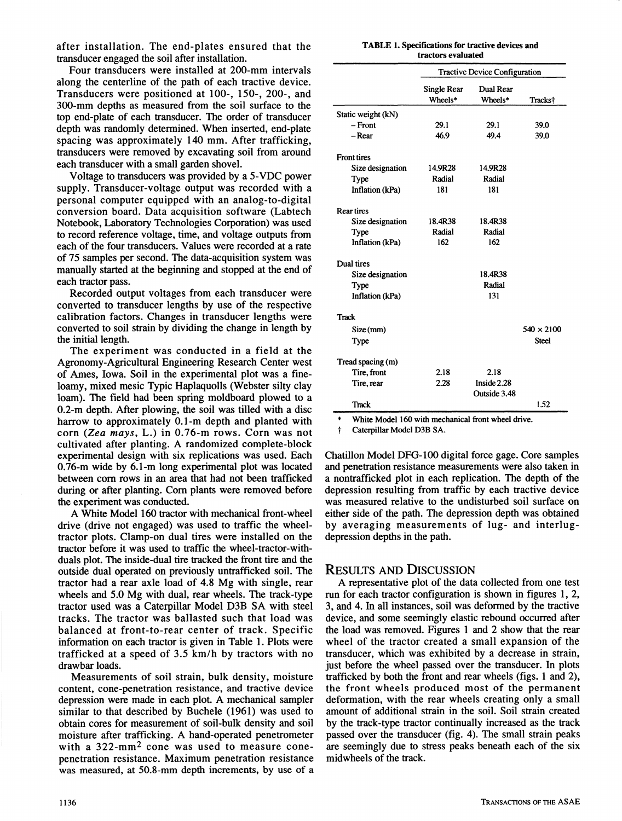**after installation. The end-plates ensured that the transducer engaged the soil after installation.** 

**Four transducers were installed at 200-mm intervals along the centerline of the path of each tractive device. Transducers were positioned at 100-, 150-, 200-, and 300-mm depths as measured from the soil surface to the top end-plate of each transducer. The order of transducer depth was randomly determined. When inserted, end-plate spacing was approximately 140 mm. After trafficking, transducers were removed by excavating soil from around each transducer with a small garden shovel.** 

**Voltage to transducers was provided by a 5-VDC power supply. Transducer-voltage output was recorded with a personal computer equipped with an analog-to-digital conversion board. Data acquisition software (Labtech Notebook, Laboratory Technologies Corporation) was used to record reference voltage, time, and voltage outputs from each of the four transducers. Values were recorded at a rate of 75 samples per second. The data-acquisition system was manually started at the beginning and stopped at the end of each tractor pass.** 

**Recorded output voltages from each transducer were converted to transducer lengths by use of the respective calibration factors. Changes in transducer lengths were converted to soil strain by dividing the change in length by the initial length.** 

**The experiment was conducted in a field at the Agronomy-Agricultural Engineering Research Center west of Ames, Iowa. Soil in the experimental plot was a fineloamy, mixed mesic Typic Haplaquolls (Webster silty clay loam). The field had been spring moldboard plowed to a 0.2-m depth. After plowing, the soil was tilled with a disc harrow to approximately 0.1-m depth and planted with corn** *{Zea mays,* **L.) in 0.76-m rows. Corn was not cultivated after planting. A randomized complete-block experimental design with six replications was used. Each 0.76-m wide by 6.1-m long experimental plot was located between com rows in an area that had not been trafficked during or after planting. Com plants were removed before the experiment was conducted.** 

**A White Model 160 tractor with mechanical front-wheel drive (drive not engaged) was used to traffic the wheeltractor plots. Clamp-on dual tires were installed on the tractor before it was used to traffic the wheel-tractor-withduals plot. The inside-dual tire tracked the front tire and the outside dual operated on previously untrafficked soil. The tractor had a rear axle load of 4.8 Mg with single, rear wheels and 5.0 Mg with dual, rear wheels. The track-type tractor used was a Caterpillar Model D3B SA with steel tracks. The tractor was ballasted such that load was balanced at front-to-rear center of track. Specific information on each tractor is given in Table 1. Plots were trafficked at a speed of 3.5 km/h by tractors with no drawbar loads.** 

**Measurements of soil strain, bulk density, moisture content, cone-penetration resistance, and tractive device depression were made in each plot. A mechanical sampler similar to that described by Buchele (1961) was used to obtain cores for measurement of soil-bulk density and soil moisture after trafficking. A hand-operated penetrometer with a 322-mm2 cone was used to measure conepenetration resistance. Maximum penetration resistance was measured, at 50.8-mm depth increments, by use of a** 

|  | <b>TABLE 1. Specifications for tractive devices and</b> |  |
|--|---------------------------------------------------------|--|
|  | tractors evaluated                                      |  |

|                    | <b>Tractive Device Configuration</b> |                      |                     |  |
|--------------------|--------------------------------------|----------------------|---------------------|--|
|                    | Single Rear<br>Wheels*               | Dual Rear<br>Wheels* | Tracks <sup>†</sup> |  |
| Static weight (kN) |                                      |                      |                     |  |
| $-$ Front          | 29.1                                 | 29.1                 | 39.0                |  |
| – Rear             | 46.9                                 | 49.4                 | 39.0                |  |
| <b>Front tires</b> |                                      |                      |                     |  |
| Size designation   | 14.9R28                              | 14.9R28              |                     |  |
| Type               | Radial                               | Radial               |                     |  |
| Inflation (kPa)    | 181                                  | 181                  |                     |  |
| <b>Rear tires</b>  |                                      |                      |                     |  |
| Size designation   | 18.4R38                              | 18.4R38              |                     |  |
| Type               | Radial                               | Radial               |                     |  |
| Inflation (kPa)    | 162                                  | 162                  |                     |  |
| Dual tires         |                                      |                      |                     |  |
| Size designation   |                                      | 18.4R38              |                     |  |
| Type               |                                      | Radial               |                     |  |
| Inflation (kPa)    |                                      | 131                  |                     |  |
| <b>Track</b>       |                                      |                      |                     |  |
| Size(mm)           |                                      |                      | $540 \times 2100$   |  |
| Type               |                                      |                      | <b>Steel</b>        |  |
| Tread spacing (m)  |                                      |                      |                     |  |
| Tire, front        | 2.18                                 | 2.18                 |                     |  |
| Tire, rear         | 2.28                                 | Inside 2.28          |                     |  |
|                    |                                      | Outside 3.48         |                     |  |
| Track              |                                      |                      | 1.52                |  |

White Model 160 with mechanical front wheel drive.

t Caterpillar Model D3B SA.

**Chatillon Model DFG-100 digital force gage. Core samples and penetration resistance measurements were also taken in a nontrafficked plot in each replication. The depth of the depression resulting from traffic by each tractive device was measured relative to the undisturbed soil surface on either side of the path. The depression depth was obtained by averaging measurements of lug- and interlugdepression depths in the path.** 

### RESULTS AND DISCUSSION

**A representative plot of the data collected from one test run for each tractor configuration is shown in figures 1, 2, 3, and 4. In all instances, soil was deformed by the tractive device, and some seemingly elastic rebound occurred after the load was removed. Figures 1 and 2 show that the rear wheel of the tractor created a small expansion of the transducer, which was exhibited by a decrease in strain, just before the wheel passed over the transducer. In plots trafficked by both the front and rear wheels (figs. 1 and 2), the front wheels produced most of the permanent deformation, with the rear wheels creating only a small amount of additional strain in the soil. Soil strain created by the track-type tractor continually increased as the track passed over the transducer (fig. 4). The small strain peaks are seemingly due to stress peaks beneath each of the six midwheels of the track.**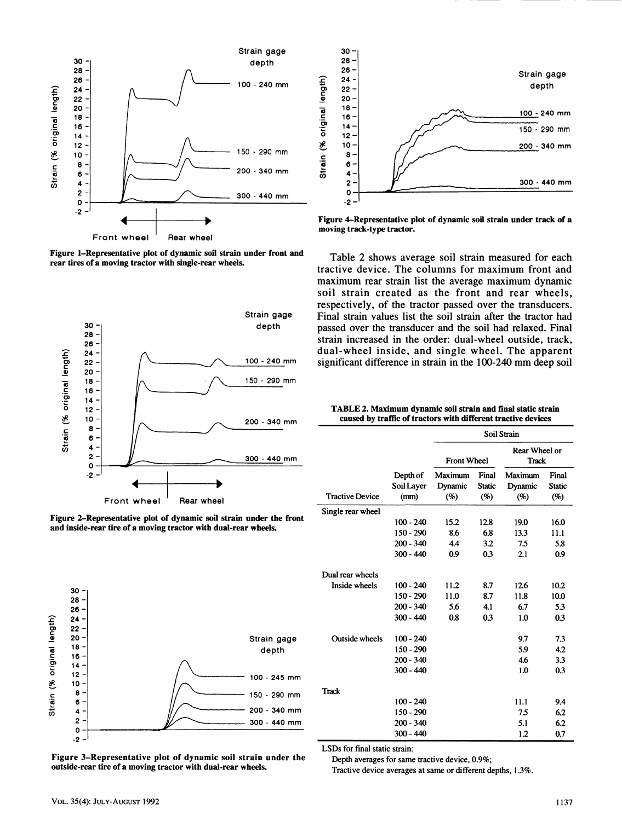

**Figure 1-Representative plot of dynamic soil strain under front and rear tires of a moving tractor with single-rear wheels.** 







**Figure 3-Representative plot of dynamic soil strain under the outside-rear tire of a moving tractor with dual-rear wheels.** 



**Figure 4-Representative plot of dynamic soil strain under track of a moving track-type tractor.** 

**Table 2 shows average soil strain measured for each tractive device. The columns for maximum front and maximum rear strain list the average maximum dynamic soil strain created as the front and rear wheels, respectively, of the tractor passed over the transducers. Final strain values list the soil strain after the tractor had passed over the transducer and the soil had relaxed. Final strain increased in the order: dual-wheel outside, track, dual-wheel inside, and single wheel. The apparent significant difference in strain in the 100-240 mm deep soil** 

| TABLE 2. Maximum dynamic soil strain and final static strain  |
|---------------------------------------------------------------|
| caused by traffic of tractors with different tractive devices |

|                        |                        | Soil Strain        |                        |                        |                        |  |
|------------------------|------------------------|--------------------|------------------------|------------------------|------------------------|--|
|                        |                        | <b>Front Wheel</b> |                        | Rear Wheel or<br>Track |                        |  |
| <b>Tractive Device</b> | Depth of<br>Soil Layer | Maximum<br>Dynamic | Final<br><b>Static</b> | Maximum<br>Dynamic     | Final<br><b>Static</b> |  |
|                        | (mm)                   | (%)                | (%)                    | (%)                    | (%)                    |  |
| Single rear wheel      |                        |                    |                        |                        |                        |  |
|                        | $100 - 240$            | 15.2               | 12.8                   | 19.0                   | 16.0                   |  |
|                        | $150 - 290$            | 8.6                | 6.8                    | 13.3                   | 11.1                   |  |
|                        | 200 - 340              | 4.4                | 3.2                    | 7.5                    | 5.8                    |  |
|                        | $300 - 440$            | 0.9                | 0.3                    | 2.1                    | 0.9                    |  |
| Dual rear wheels       |                        |                    |                        |                        |                        |  |
| Inside wheels          | $100 - 240$            | 11.2               | 8.7                    | 12.6                   | 10.2                   |  |
|                        | $150 - 290$            | 11.0               | 8.7                    | 11.8                   | 10.0                   |  |
|                        | $200 - 340$            | 5.6                | 4.1                    | 6.7                    | 5.3                    |  |
|                        | $300 - 440$            | 0.8                | 0.3                    | 1.0                    | 0.3                    |  |
| <b>Outside wheels</b>  | $100 - 240$            |                    |                        | 9.7                    | 7.3                    |  |
|                        | 150 - 290              |                    |                        | 5.9                    | 4.2                    |  |
|                        | $200 - 340$            |                    |                        | 4.6                    | 3.3                    |  |
|                        | $300 - 440$            |                    |                        | 1.0                    | 0.3                    |  |
| <b>Track</b>           |                        |                    |                        |                        |                        |  |
|                        | 100 - 240              |                    |                        | 11.1                   | 9.4                    |  |
|                        | 150 - 290              |                    |                        | 75                     | 6.2                    |  |
|                        | $200 - 340$            |                    |                        | 5.1                    | 6.2                    |  |
|                        | $300 - 440$            |                    |                        | 1.2                    | 0.7                    |  |

LSDs for final static strain:

Depth averages for same tractive device, 0.9%;

Tractive device averages at same or different depths, 1*3%.*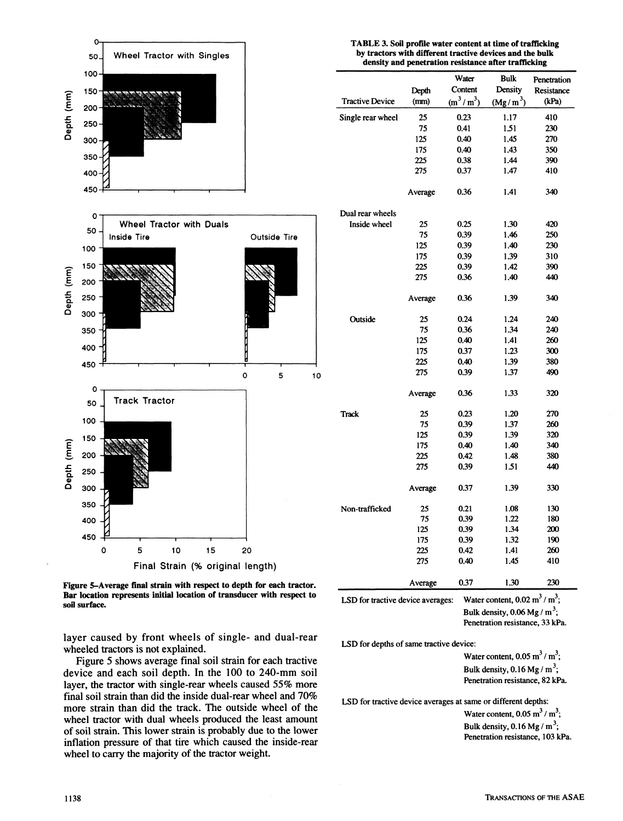

**Figure 5-Average final strain with respect to depth for each tractor. Bar location represents initial location of transducer with respect to sofl surface.** 

**layer caused by front wheels of single- and dual-rear wheeled tractors is not explained.** 

**Figure 5 shows average final soil strain for each tractive device and each soil depth. In the 100 to 240-mm soil layer, the tractor with single-rear wheels caused 55% more final soil strain than did the inside dual-rear wheel and 70% more strain than did the track. The outside wheel of the wheel tractor with dual wheels produced the least amount of soil strain. This lower strain is probably due to the lower inflation pressure of that tire which caused the inside-rear wheel to carry the majority of the tractor weight.** 

#### **TABLE 3. Soil profile water content at time of trafficking by tractors with different tractive devices and the bulk density and penetration resistance after trafficking**

|                        |         | Water       | Bulk       | Penetration |
|------------------------|---------|-------------|------------|-------------|
|                        | Depth   | Content     | Density    | Resistance  |
| <b>Tractive Device</b> | (mm)    | $(m^3/m^3)$ | $(Mg/m^3)$ | (kPa)       |
| Single rear wheel      | 25      | 0.23        | 1.17       | 410         |
|                        | 75      | 0.41        | 1.51       | 230         |
|                        | 125     | 0.40        | 1.45       | 270         |
|                        | 175     | 0.40        | 1.43       | 350         |
|                        | 225     | 0.38        | 1.44       | 390         |
|                        | 275     | 0.37        | 1.47       | 410         |
|                        |         |             |            |             |
|                        | Average | 0.36        | 1.41       | 340         |
| Dual rear wheels       |         |             |            |             |
| Inside wheel           | 25      | 0.25        | 1.30       | 420         |
|                        | 75      | 0.39        | 1.46       | 250         |
|                        | 125     | 0.39        | 1.40       | 230         |
|                        | 175     | 0.39        | 1.39       | 310         |
|                        | 225     | 0.39        | 1.42       | 390         |
|                        | 275     | 0.36        | 1.40       | 440         |
|                        | Average | 0.36        | 1.39       | 340         |
|                        |         |             |            |             |
| Outside                | 25      | 0.24        | 1.24       | 240         |
|                        | 75      | 0.36        | 1.34       | 240         |
|                        | 125     | 0.40        | 1.41       | 260         |
|                        | 175     | 0.37        | 1.23       | 300         |
|                        | 225     | 0.40        | 1.39       | 380         |
|                        | 275     | 0.39        | 1.37       | 490         |
|                        | Average | 0.36        | 1.33       | 320         |
| <b>Track</b>           | 25      | 0.23        | 1.20       | 270         |
|                        | 75      | 0.39        | 1.37       | 260         |
|                        | 125     | 0.39        | 1.39       | 320         |
|                        | 175     | 0.40        | 1.40       | 340         |
|                        | 225     | 0.42        | 1.48       | 380         |
|                        | 275     | 0.39        | 1.51       | 440         |
|                        | Average | 0.37        | 1.39       | 330         |
| Non-trafficked         | 25      | 0.21        | 1.08       | 130         |
|                        | 75      | 0.39        | 1.22       | 180         |
|                        | 125     | 0.39        | 1.34       | 200         |
|                        | 175     | 0.39        | 1.32       | 190         |
|                        | 225     | 0.42        | 1.41       | 260         |
|                        | 275     | 0.40        | 1.45       | 410         |
|                        | Average | 0.37        | 1.30       | 230         |

LSD for tractive device averages:

Water content,  $0.02 \text{ m}^3/\text{ m}^3$ ; Bulk density,  $0.06$  Mg / m<sup>3</sup>; Penetration resistance, 33 kPa.

LSD for depths of same tractive device:

Water content,  $0.05 \text{ m}^3 / \text{ m}^3$ ; Bulk density,  $0.16$  Mg / m<sup>3</sup>; Penetration resistance, 82 kPa.

LSD for tractive device averages at same or different depths:

Water content,  $0.05 \text{ m}^3 / \text{ m}^3$ ; Bulk density,  $0.16$  Mg / m<sup>3</sup>; Penetration resistance, 103 kPa.